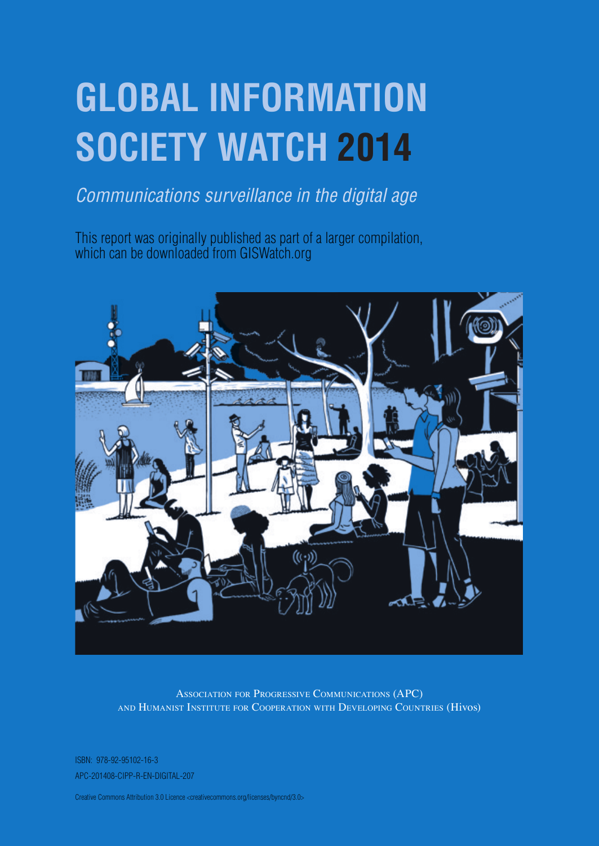# **Global Information Society Watch 2014**

## *Communications surveillance in the digital age*

This report was originally published as part of a larger compilation, which can be downloaded from GISWatch.org



Association for Progressive Communications (APC) and Humanist Institute for Cooperation with Developing Countries (Hivos)

ISBN: 978-92-95102-16-3 APC-201408-CIPP-R-EN-DIGITAL-207

Creative Commons Attribution 3.0 Licence <creativecommons.org/licenses/byncnd/3.0>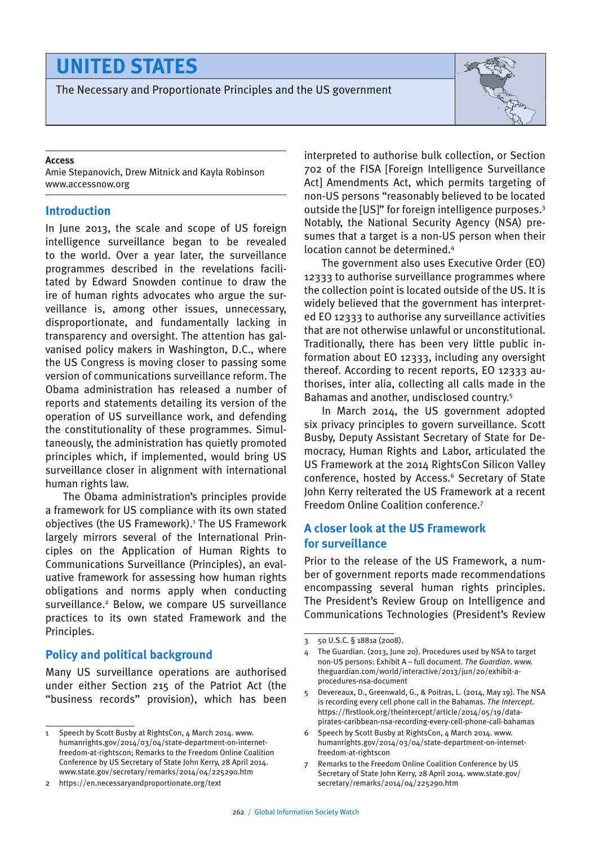## **united states**

The Necessary and Proportionate Principles and the US government



#### **Access**

Amie Stepanovich, Drew Mitnick and Kayla Robinson www.accessnow.org

#### **Introduction**

In June 2013, the scale and scope of US foreign intelligence surveillance began to be revealed to the world. Over a year later, the surveillance programmes described in the revelations facilitated by Edward Snowden continue to draw the ire of human rights advocates who argue the surveillance is, among other issues, unnecessary, disproportionate, and fundamentally lacking in transparency and oversight. The attention has galvanised policy makers in Washington, D.C., where the US Congress is moving closer to passing some version of communications surveillance reform. The Obama administration has released a number of reports and statements detailing its version of the operation of US surveillance work, and defending the constitutionality of these programmes. Simultaneously, the administration has quietly promoted principles which, if implemented, would bring US surveillance closer in alignment with international human rights law.

The Obama administration's principles provide a framework for US compliance with its own stated objectives (the US Framework).<sup>1</sup> The US Framework largely mirrors several of the International Principles on the Application of Human Rights to Communications Surveillance (Principles), an evaluative framework for assessing how human rights obligations and norms apply when conducting surveillance.<sup>2</sup> Below, we compare US surveillance practices to its own stated Framework and the Principles.

#### **Policy and political background**

Many US surveillance operations are authorised under either Section 215 of the Patriot Act (the "business records" provision), which has been

interpreted to authorise bulk collection, or Section 702 of the FISA [Foreign Intelligence Surveillance Act] Amendments Act, which permits targeting of non-US persons "reasonably believed to be located outside the [US]" for foreign intelligence purposes.3 Notably, the National Security Agency (NSA) presumes that a target is a non-US person when their location cannot be determined.4

The government also uses Executive Order (EO) 12333 to authorise surveillance programmes where the collection point is located outside of the US. It is widely believed that the government has interpreted EO 12333 to authorise any surveillance activities that are not otherwise unlawful or unconstitutional. Traditionally, there has been very little public information about EO 12333, including any oversight thereof. According to recent reports, EO 12333 authorises, inter alia, collecting all calls made in the Bahamas and another, undisclosed country.5

In March 2014, the US government adopted six privacy principles to govern surveillance. Scott Busby, Deputy Assistant Secretary of State for Democracy, Human Rights and Labor, articulated the US Framework at the 2014 RightsCon Silicon Valley conference, hosted by Access.<sup>6</sup> Secretary of State John Kerry reiterated the US Framework at a recent Freedom Online Coalition conference.7

#### **A closer look at the US Framework for surveillance**

Prior to the release of the US Framework, a number of government reports made recommendations encompassing several human rights principles. The President's Review Group on Intelligence and Communications Technologies (President's Review

<sup>1</sup> Speech by Scott Busby at RightsCon, 4 March 2014. www. humanrights.gov/2014/03/04/state-department-on-internetfreedom-at-rightscon; Remarks to the Freedom Online Coalition Conference by US Secretary of State John Kerry, 28 April 2014. www.state.gov/secretary/remarks/2014/04/225290.htm

<sup>2</sup> https://en.necessaryandproportionate.org/text

<sup>3</sup> 50 U.S.C. § 1881a (2008).

The Guardian. (2013, June 20). Procedures used by NSA to target non-US persons: Exhibit A – full document. *The Guardian*. www. theguardian.com/world/interactive/2013/jun/20/exhibit-aprocedures-nsa-document

<sup>5</sup> Devereaux, D., Greenwald, G., & Poitras, L. (2014, May 19). The NSA is recording every cell phone call in the Bahamas. *The Intercept*. https://firstlook.org/theintercept/article/2014/05/19/datapirates-caribbean-nsa-recording-every-cell-phone-call-bahamas

<sup>6</sup> Speech by Scott Busby at RightsCon, 4 March 2014. www. humanrights.gov/2014/03/04/state-department-on-internetfreedom-at-rightscon

<sup>7</sup> Remarks to the Freedom Online Coalition Conference by US Secretary of State John Kerry, 28 April 2014. www.state.gov/ secretary/remarks/2014/04/225290.htm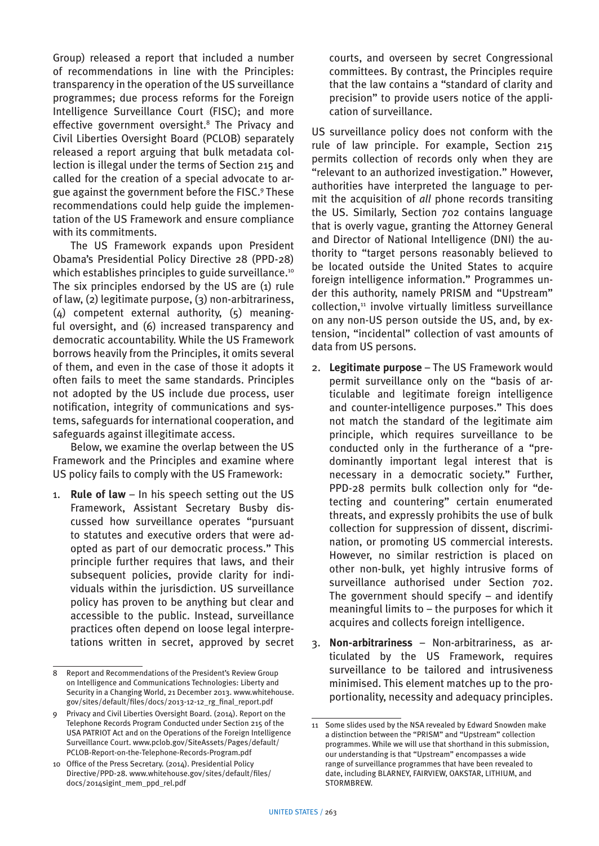Group) released a report that included a number of recommendations in line with the Principles: transparency in the operation of the US surveillance programmes; due process reforms for the Foreign Intelligence Surveillance Court (FISC); and more effective government oversight.8 The Privacy and Civil Liberties Oversight Board (PCLOB) separately released a report arguing that bulk metadata collection is illegal under the terms of Section 215 and called for the creation of a special advocate to argue against the government before the FISC.9 These recommendations could help guide the implementation of the US Framework and ensure compliance with its commitments.

The US Framework expands upon President Obama's Presidential Policy Directive 28 (PPD-28) which establishes principles to guide surveillance.<sup>10</sup> The six principles endorsed by the US are (1) rule of law, (2) legitimate purpose, (3) non-arbitrariness, (4) competent external authority, (5) meaningful oversight, and (6) increased transparency and democratic accountability. While the US Framework borrows heavily from the Principles, it omits several of them, and even in the case of those it adopts it often fails to meet the same standards. Principles not adopted by the US include due process, user notification, integrity of communications and systems, safeguards for international cooperation, and safeguards against illegitimate access.

Below, we examine the overlap between the US Framework and the Principles and examine where US policy fails to comply with the US Framework:

1. **Rule of law** – In his speech setting out the US Framework, Assistant Secretary Busby discussed how surveillance operates "pursuant to statutes and executive orders that were adopted as part of our democratic process." This principle further requires that laws, and their subsequent policies, provide clarity for individuals within the jurisdiction. US surveillance policy has proven to be anything but clear and accessible to the public. Instead, surveillance practices often depend on loose legal interpretations written in secret, approved by secret courts, and overseen by secret Congressional committees. By contrast, the Principles require that the law contains a "standard of clarity and precision" to provide users notice of the application of surveillance.

US surveillance policy does not conform with the rule of law principle. For example, Section 215 permits collection of records only when they are "relevant to an authorized investigation." However, authorities have interpreted the language to permit the acquisition of *all* phone records transiting the US. Similarly, Section 702 contains language that is overly vague, granting the Attorney General and Director of National Intelligence (DNI) the authority to "target persons reasonably believed to be located outside the United States to acquire foreign intelligence information." Programmes under this authority, namely PRISM and "Upstream" collection,<sup>11</sup> involve virtually limitless surveillance on any non-US person outside the US, and, by extension, "incidental" collection of vast amounts of data from US persons.

- 2. **Legitimate purpose**  The US Framework would permit surveillance only on the "basis of articulable and legitimate foreign intelligence and counter-intelligence purposes." This does not match the standard of the legitimate aim principle, which requires surveillance to be conducted only in the furtherance of a "predominantly important legal interest that is necessary in a democratic society." Further, PPD-28 permits bulk collection only for "detecting and countering" certain enumerated threats, and expressly prohibits the use of bulk collection for suppression of dissent, discrimination, or promoting US commercial interests. However, no similar restriction is placed on other non-bulk, yet highly intrusive forms of surveillance authorised under Section 702. The government should specify – and identify meaningful limits to – the purposes for which it acquires and collects foreign intelligence.
- 3. **Non-arbitrariness**  Non-arbitrariness, as articulated by the US Framework, requires surveillance to be tailored and intrusiveness minimised. This element matches up to the proportionality, necessity and adequacy principles.

<sup>8</sup> Report and Recommendations of the President's Review Group on Intelligence and Communications Technologies: Liberty and Security in a Changing World, 21 December 2013. www.whitehouse. gov/sites/default/files/docs/2013-12-12\_rg\_final\_report.pdf

<sup>9</sup> Privacy and Civil Liberties Oversight Board. (2014). Report on the Telephone Records Program Conducted under Section 215 of the USA PATRIOT Act and on the Operations of the Foreign Intelligence Surveillance Court. www.pclob.gov/SiteAssets/Pages/default/ PCLOB-Report-on-the-Telephone-Records-Program.pdf

<sup>10</sup> Office of the Press Secretary. (2014). Presidential Policy Directive/PPD-28. www.whitehouse.gov/sites/default/files/ docs/2014sigint\_mem\_ppd\_rel.pdf

<sup>11</sup> Some slides used by the NSA revealed by Edward Snowden make a distinction between the "PRISM" and "Upstream" collection programmes. While we will use that shorthand in this submission, our understanding is that "Upstream" encompasses a wide range of surveillance programmes that have been revealed to date, including BLARNEY, FAIRVIEW, OAKSTAR, LITHIUM, and STORMBREW.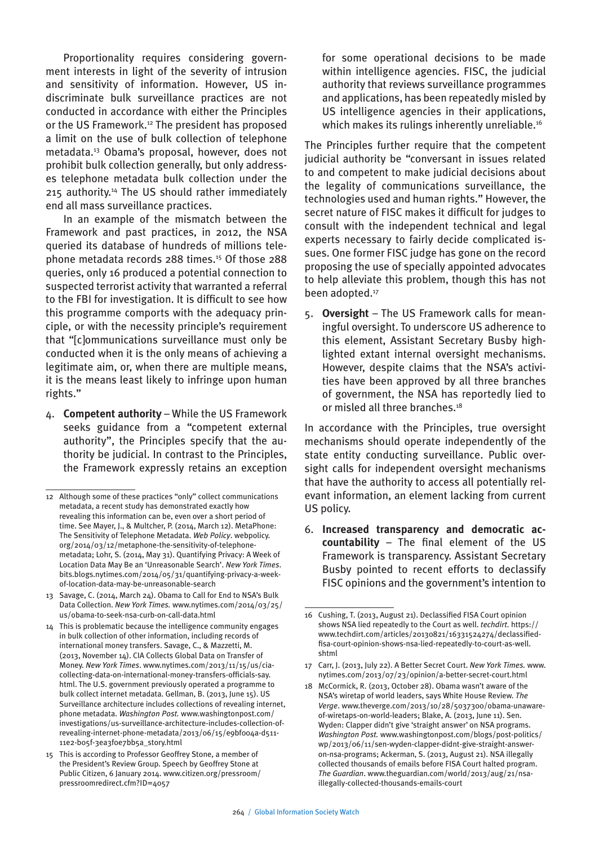Proportionality requires considering government interests in light of the severity of intrusion and sensitivity of information. However, US indiscriminate bulk surveillance practices are not conducted in accordance with either the Principles or the US Framework.<sup>12</sup> The president has proposed a limit on the use of bulk collection of telephone metadata.13 Obama's proposal, however, does not prohibit bulk collection generally, but only addresses telephone metadata bulk collection under the 215 authority.14 The US should rather immediately end all mass surveillance practices.

In an example of the mismatch between the Framework and past practices, in 2012, the NSA queried its database of hundreds of millions telephone metadata records 288 times.15 Of those 288 queries, only 16 produced a potential connection to suspected terrorist activity that warranted a referral to the FBI for investigation. It is difficult to see how this programme comports with the adequacy principle, or with the necessity principle's requirement that "[c]ommunications surveillance must only be conducted when it is the only means of achieving a legitimate aim, or, when there are multiple means, it is the means least likely to infringe upon human rights."

4. **Competent authority** – While the US Framework seeks guidance from a "competent external authority", the Principles specify that the authority be judicial. In contrast to the Principles, the Framework expressly retains an exception

for some operational decisions to be made within intelligence agencies. FISC, the judicial authority that reviews surveillance programmes and applications, has been repeatedly misled by US intelligence agencies in their applications, which makes its rulings inherently unreliable.<sup>16</sup>

The Principles further require that the competent judicial authority be "conversant in issues related to and competent to make judicial decisions about the legality of communications surveillance, the technologies used and human rights." However, the secret nature of FISC makes it difficult for judges to consult with the independent technical and legal experts necessary to fairly decide complicated issues. One former FISC judge has gone on the record proposing the use of specially appointed advocates to help alleviate this problem, though this has not been adopted.<sup>17</sup>

5. **Oversight** – The US Framework calls for meaningful oversight. To underscore US adherence to this element, Assistant Secretary Busby highlighted extant internal oversight mechanisms. However, despite claims that the NSA's activities have been approved by all three branches of government, the NSA has reportedly lied to or misled all three branches.<sup>18</sup>

In accordance with the Principles, true oversight mechanisms should operate independently of the state entity conducting surveillance. Public oversight calls for independent oversight mechanisms that have the authority to access all potentially relevant information, an element lacking from current US policy.

6. **Increased transparency and democratic accountability** – The final element of the US Framework is transparency. Assistant Secretary Busby pointed to recent efforts to declassify FISC opinions and the government's intention to

<sup>12</sup> Although some of these practices "only" collect communications metadata, a recent study has demonstrated exactly how revealing this information can be, even over a short period of time. See Mayer, J., & Multcher, P. (2014, March 12). MetaPhone: The Sensitivity of Telephone Metadata. *Web Policy*. webpolicy. org/2014/03/12/metaphone-the-sensitivity-of-telephonemetadata; Lohr, S. (2014, May 31). Quantifying Privacy: A Week of Location Data May Be an 'Unreasonable Search'. *New York Times*. bits.blogs.nytimes.com/2014/05/31/quantifying-privacy-a-weekof-location-data-may-be-unreasonable-search

<sup>13</sup> Savage, C. (2014, March 24). Obama to Call for End to NSA's Bulk Data Collection. *New York Times.* www.nytimes.com/2014/03/25/ us/obama-to-seek-nsa-curb-on-call-data.html

<sup>14</sup> This is problematic because the intelligence community engages in bulk collection of other information, including records of international money transfers. Savage, C., & Mazzetti, M. (2013, November 14). CIA Collects Global Data on Transfer of Money. *New York Times*. www.nytimes.com/2013/11/15/us/ciacollecting-data-on-international-money-transfers-officials-say. html. The U.S. government previously operated a programme to bulk collect internet metadata. Gellman, B. (2013, June 15). US Surveillance architecture includes collections of revealing internet, phone metadata. *Washington Post.* www.washingtonpost.com/ investigations/us-surveillance-architecture-includes-collection-ofrevealing-internet-phone-metadata/2013/06/15/e9bf004a-d511- 11e2-b05f-3ea3f0e7bb5a\_story.html

<sup>15</sup> This is according to Professor Geoffrey Stone, a member of the President's Review Group. Speech by Geoffrey Stone at Public Citizen, 6 January 2014. www.citizen.org/pressroom/ pressroomredirect.cfm?ID=4057

<sup>16</sup> Cushing, T. (2013, August 21). Declassified FISA Court opinion shows NSA lied repeatedly to the Court as well. *techdirt.* https:// www.techdirt.com/articles/20130821/16331524274/declassifiedfisa-court-opinion-shows-nsa-lied-repeatedly-to-court-as-well. shtml

<sup>17</sup> Carr, J. (2013, July 22). A Better Secret Court. *New York Times.* www. nytimes.com/2013/07/23/opinion/a-better-secret-court.html

<sup>18</sup> McCormick, R. (2013, October 28). Obama wasn't aware of the NSA's wiretap of world leaders, says White House Review. *The Verge*. www.theverge.com/2013/10/28/5037300/obama-unawareof-wiretaps-on-world-leaders; Blake, A. (2013, June 11). Sen. Wyden: Clapper didn't give 'straight answer' on NSA programs. *Washington Post.* www.washingtonpost.com/blogs/post-politics/ wp/2013/06/11/sen-wyden-clapper-didnt-give-straight-answeron-nsa-programs; Ackerman, S. (2013, August 21). NSA illegally collected thousands of emails before FISA Court halted program. *The Guardian*. www.theguardian.com/world/2013/aug/21/nsaillegally-collected-thousands-emails-court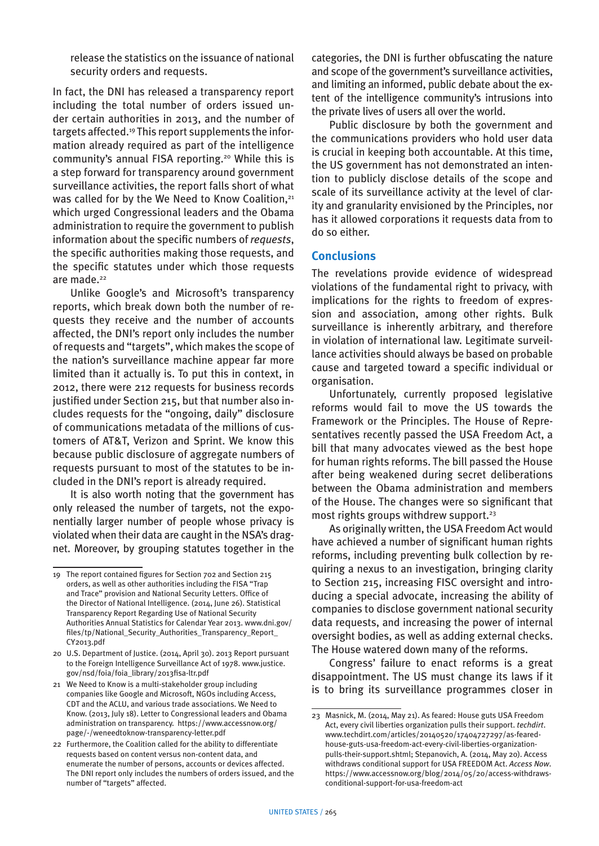release the statistics on the issuance of national security orders and requests.

In fact, the DNI has released a transparency report including the total number of orders issued under certain authorities in 2013, and the number of targets affected.19 This report supplements the information already required as part of the intelligence community's annual FISA reporting.<sup>20</sup> While this is a step forward for transparency around government surveillance activities, the report falls short of what was called for by the We Need to Know Coalition,<sup>21</sup> which urged Congressional leaders and the Obama administration to require the government to publish information about the specific numbers of *requests*, the specific authorities making those requests, and the specific statutes under which those requests are made.<sup>22</sup>

Unlike Google's and Microsoft's transparency reports, which break down both the number of requests they receive and the number of accounts affected, the DNI's report only includes the number of requests and "targets", which makes the scope of the nation's surveillance machine appear far more limited than it actually is. To put this in context, in 2012, there were 212 requests for business records justified under Section 215, but that number also includes requests for the "ongoing, daily" disclosure of communications metadata of the millions of customers of AT&T, Verizon and Sprint. We know this because public disclosure of aggregate numbers of requests pursuant to most of the statutes to be included in the DNI's report is already required.

It is also worth noting that the government has only released the number of targets, not the exponentially larger number of people whose privacy is violated when their data are caught in the NSA's dragnet. Moreover, by grouping statutes together in the categories, the DNI is further obfuscating the nature and scope of the government's surveillance activities, and limiting an informed, public debate about the extent of the intelligence community's intrusions into the private lives of users all over the world.

Public disclosure by both the government and the communications providers who hold user data is crucial in keeping both accountable. At this time, the US government has not demonstrated an intention to publicly disclose details of the scope and scale of its surveillance activity at the level of clarity and granularity envisioned by the Principles, nor has it allowed corporations it requests data from to do so either.

### **Conclusions**

The revelations provide evidence of widespread violations of the fundamental right to privacy, with implications for the rights to freedom of expression and association, among other rights. Bulk surveillance is inherently arbitrary, and therefore in violation of international law. Legitimate surveillance activities should always be based on probable cause and targeted toward a specific individual or organisation.

Unfortunately, currently proposed legislative reforms would fail to move the US towards the Framework or the Principles. The House of Representatives recently passed the USA Freedom Act, a bill that many advocates viewed as the best hope for human rights reforms. The bill passed the House after being weakened during secret deliberations between the Obama administration and members of the House. The changes were so significant that most rights groups withdrew support.<sup>23</sup>

As originally written, the USA Freedom Act would have achieved a number of significant human rights reforms, including preventing bulk collection by requiring a nexus to an investigation, bringing clarity to Section 215, increasing FISC oversight and introducing a special advocate, increasing the ability of companies to disclose government national security data requests, and increasing the power of internal oversight bodies, as well as adding external checks. The House watered down many of the reforms.

Congress' failure to enact reforms is a great disappointment. The US must change its laws if it is to bring its surveillance programmes closer in

<sup>19</sup> The report contained figures for Section 702 and Section 215 orders, as well as other authorities including the FISA "Trap and Trace" provision and National Security Letters. Office of the Director of National Intelligence. (2014, June 26). Statistical Transparency Report Regarding Use of National Security Authorities Annual Statistics for Calendar Year 2013. www.dni.gov/ files/tp/National\_Security\_Authorities\_Transparency\_Report\_ CY2013.pdf

<sup>20</sup> U.S. Department of Justice. (2014, April 30). 2013 Report pursuant to the Foreign Intelligence Surveillance Act of 1978. www.justice. gov/nsd/foia/foia\_library/2013fisa-ltr.pdf

<sup>21</sup> We Need to Know is a multi-stakeholder group including companies like Google and Microsoft, NGOs including Access, CDT and the ACLU, and various trade associations. We Need to Know. (2013, July 18). Letter to Congressional leaders and Obama administration on transparency. https://www.accessnow.org/ page/-/weneedtoknow-transparency-letter.pdf

<sup>22</sup> Furthermore, the Coalition called for the ability to differentiate requests based on content versus non-content data, and enumerate the number of persons, accounts or devices affected. The DNI report only includes the numbers of orders issued, and the number of "targets" affected.

<sup>23</sup> Masnick, M. (2014, May 21). As feared: House guts USA Freedom Act, every civil liberties organization pulls their support. *techdirt*. www.techdirt.com/articles/20140520/17404727297/as-fearedhouse-guts-usa-freedom-act-every-civil-liberties-organizationpulls-their-support.shtml; Stepanovich, A. (2014, May 20). Access withdraws conditional support for USA FREEDOM Act. *Access Now*. https://www.accessnow.org/blog/2014/05/20/access-withdrawsconditional-support-for-usa-freedom-act